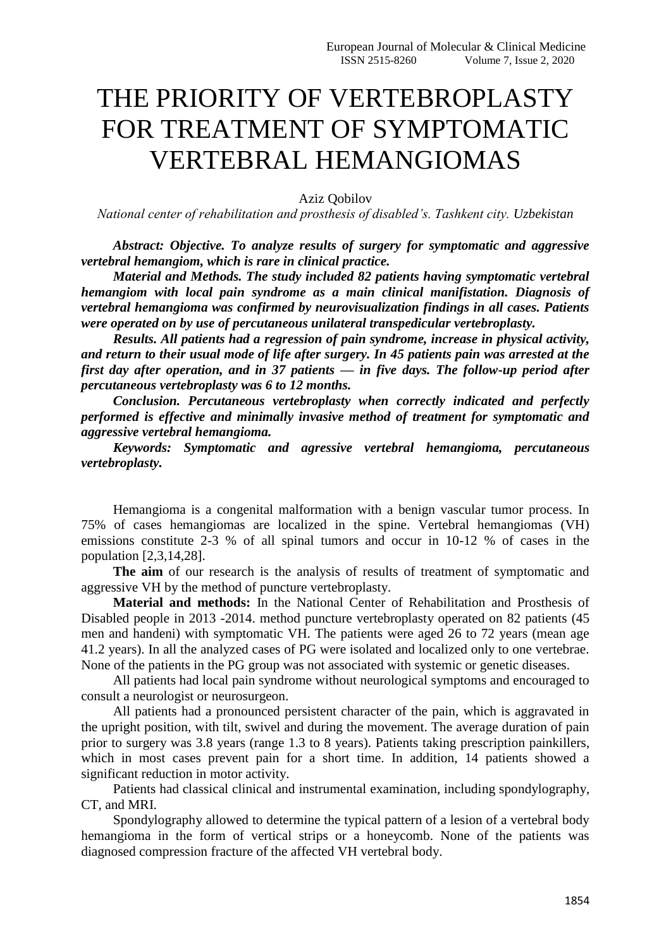## THE PRIORITY OF VERTEBROPLASTY FOR TREATMENT OF SYMPTOMATIC VERTEBRAL HEMANGIOMAS

Aziz Qobilov

*National center of rehabilitation and prosthesis of disabled's. Tashkent city. Uzbekistan*

*Abstract: Objective. To analyze results of surgery for symptomatic and aggressive vertebral hemangiom, which is rare in clinical practice.*

*Material and Methods. The study included 82 patients having symptomatic vertebral hemangiom with local pain syndrome as a main clinical manifistation. Diagnosis of vertebral hemangioma was confirmed by neurovisualization findings in all cases. Patients were operated on by use of percutaneous unilateral transpedicular vertebroplasty.*

*Results. All patients had a regression of pain syndrome, increase in physical activity, and return to their usual mode of life after surgery. In 45 patients pain was arrested at the first day after operation, and in 37 patients — in five days. The follow-up period after percutaneous vertebroplasty was 6 to 12 months.* 

*Conclusion. Percutaneous vertebroplasty when correctly indicated and perfectly performed is effective and minimally invasive method of treatment for symptomatic and aggressive vertebral hemangioma.*

*Keywords: Symptomatic and agressive vertebral hemangioma, percutaneous vertebroplasty.*

Hemangioma is a congenital malformation with a benign vascular tumor process. In 75% of cases hemangiomas are localized in the spine. Vertebral hemangiomas (VH) emissions constitute 2-3 % of all spinal tumors and occur in 10-12 % of cases in the population [2,3,14,28].

**The aim** of our research is the analysis of results of treatment of symptomatic and aggressive VH by the method of puncture vertebroplasty.

**Material and methods:** In the National Center of Rehabilitation and Prosthesis of Disabled people in 2013 -2014. method puncture vertebroplasty operated on 82 patients (45 men and handeni) with symptomatic VH. The patients were aged 26 to 72 years (mean age 41.2 years). In all the analyzed cases of PG were isolated and localized only to one vertebrae. None of the patients in the PG group was not associated with systemic or genetic diseases.

All patients had local pain syndrome without neurological symptoms and encouraged to consult a neurologist or neurosurgeon.

All patients had a pronounced persistent character of the pain, which is aggravated in the upright position, with tilt, swivel and during the movement. The average duration of pain prior to surgery was 3.8 years (range 1.3 to 8 years). Patients taking prescription painkillers, which in most cases prevent pain for a short time. In addition, 14 patients showed a significant reduction in motor activity.

Patients had classical clinical and instrumental examination, including spondylography, CT, and MRI.

Spondylography allowed to determine the typical pattern of a lesion of a vertebral body hemangioma in the form of vertical strips or a honeycomb. None of the patients was diagnosed compression fracture of the affected VH vertebral body.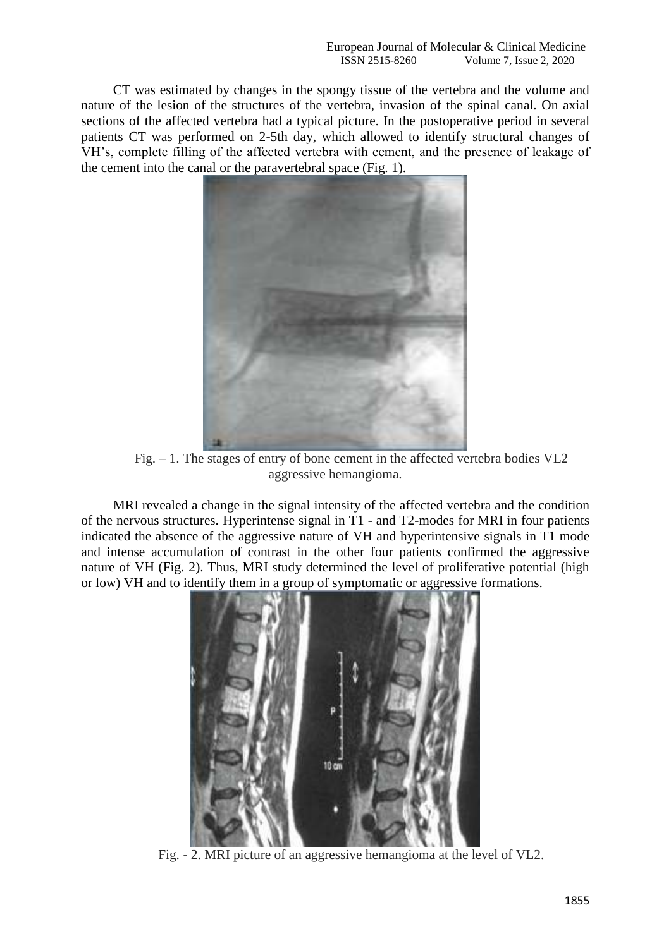CT was estimated by changes in the spongy tissue of the vertebra and the volume and nature of the lesion of the structures of the vertebra, invasion of the spinal canal. On axial sections of the affected vertebra had a typical picture. In the postoperative period in several patients CT was performed on 2-5th day, which allowed to identify structural changes of VH's, complete filling of the affected vertebra with cement, and the presence of leakage of the cement into the canal or the paravertebral space (Fig. 1).



Fig. – 1. The stages of entry of bone cement in the affected vertebra bodies VL2 aggressive hemangioma.

MRI revealed a change in the signal intensity of the affected vertebra and the condition of the nervous structures. Hyperintense signal in T1 - and T2-modes for MRI in four patients indicated the absence of the aggressive nature of VH and hyperintensive signals in T1 mode and intense accumulation of contrast in the other four patients confirmed the aggressive nature of VH (Fig. 2). Thus, MRI study determined the level of proliferative potential (high or low) VH and to identify them in a group of symptomatic or aggressive formations.



Fig. - 2. MRI picture of an aggressive hemangioma at the level of VL2.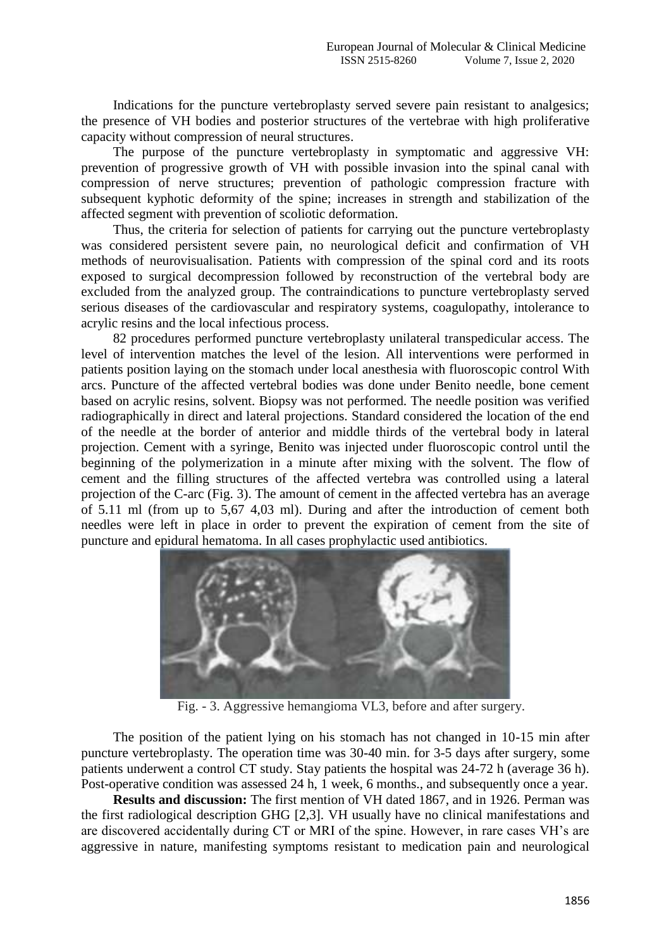Indications for the puncture vertebroplasty served severe pain resistant to analgesics; the presence of VH bodies and posterior structures of the vertebrae with high proliferative capacity without compression of neural structures.

The purpose of the puncture vertebroplasty in symptomatic and aggressive VH: prevention of progressive growth of VH with possible invasion into the spinal canal with compression of nerve structures; prevention of pathologic compression fracture with subsequent kyphotic deformity of the spine; increases in strength and stabilization of the affected segment with prevention of scoliotic deformation.

Thus, the criteria for selection of patients for carrying out the puncture vertebroplasty was considered persistent severe pain, no neurological deficit and confirmation of VH methods of neurovisualisation. Patients with compression of the spinal cord and its roots exposed to surgical decompression followed by reconstruction of the vertebral body are excluded from the analyzed group. The contraindications to puncture vertebroplasty served serious diseases of the cardiovascular and respiratory systems, coagulopathy, intolerance to acrylic resins and the local infectious process.

82 procedures performed puncture vertebroplasty unilateral transpedicular access. The level of intervention matches the level of the lesion. All interventions were performed in patients position laying on the stomach under local anesthesia with fluoroscopic control With arcs. Puncture of the affected vertebral bodies was done under Benito needle, bone cement based on acrylic resins, solvent. Biopsy was not performed. The needle position was verified radiographically in direct and lateral projections. Standard considered the location of the end of the needle at the border of anterior and middle thirds of the vertebral body in lateral projection. Cement with a syringe, Benito was injected under fluoroscopic control until the beginning of the polymerization in a minute after mixing with the solvent. The flow of cement and the filling structures of the affected vertebra was controlled using a lateral projection of the C-arc (Fig. 3). The amount of cement in the affected vertebra has an average of 5.11 ml (from up to 5,67 4,03 ml). During and after the introduction of cement both needles were left in place in order to prevent the expiration of cement from the site of puncture and epidural hematoma. In all cases prophylactic used antibiotics.



Fig. - 3. Aggressive hemangioma VL3, before and after surgery.

The position of the patient lying on his stomach has not changed in 10-15 min after puncture vertebroplasty. The operation time was 30-40 min. for 3-5 days after surgery, some patients underwent a control CT study. Stay patients the hospital was 24-72 h (average 36 h). Post-operative condition was assessed 24 h, 1 week, 6 months., and subsequently once a year.

**Results and discussion:** The first mention of VH dated 1867, and in 1926. Perman was the first radiological description GHG [2,3]. VH usually have no clinical manifestations and are discovered accidentally during CT or MRI of the spine. However, in rare cases VH's are aggressive in nature, manifesting symptoms resistant to medication pain and neurological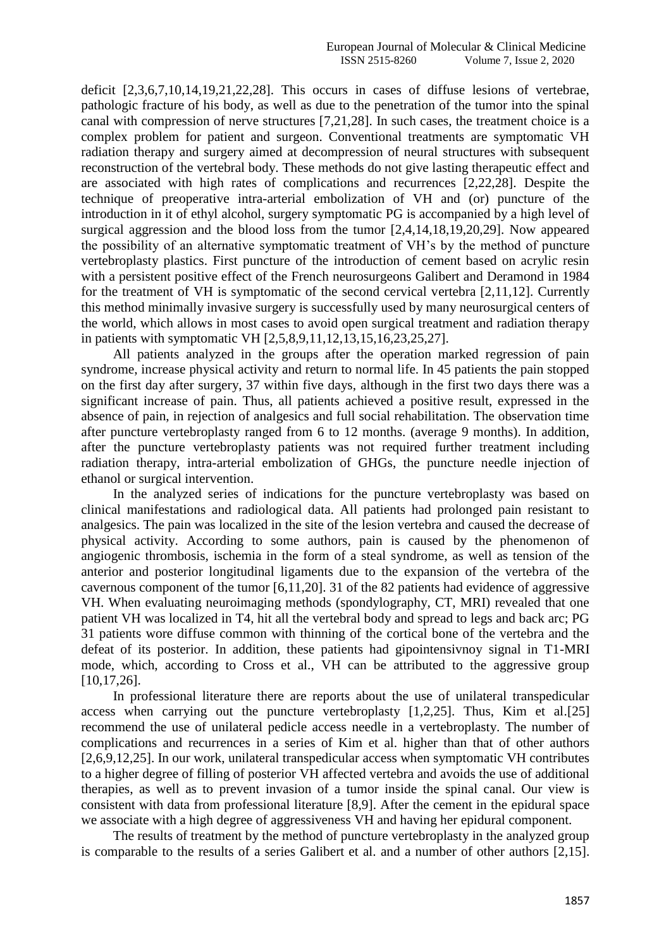deficit [2,3,6,7,10,14,19,21,22,28]. This occurs in cases of diffuse lesions of vertebrae, pathologic fracture of his body, as well as due to the penetration of the tumor into the spinal canal with compression of nerve structures [7,21,28]. In such cases, the treatment choice is a complex problem for patient and surgeon. Conventional treatments are symptomatic VH radiation therapy and surgery aimed at decompression of neural structures with subsequent reconstruction of the vertebral body. These methods do not give lasting therapeutic effect and are associated with high rates of complications and recurrences [2,22,28]. Despite the technique of preoperative intra-arterial embolization of VH and (or) puncture of the introduction in it of ethyl alcohol, surgery symptomatic PG is accompanied by a high level of surgical aggression and the blood loss from the tumor [2,4,14,18,19,20,29]. Now appeared the possibility of an alternative symptomatic treatment of VH's by the method of puncture vertebroplasty plastics. First puncture of the introduction of cement based on acrylic resin with a persistent positive effect of the French neurosurgeons Galibert and Deramond in 1984 for the treatment of VH is symptomatic of the second cervical vertebra [2,11,12]. Currently this method minimally invasive surgery is successfully used by many neurosurgical centers of the world, which allows in most cases to avoid open surgical treatment and radiation therapy in patients with symptomatic VH [2,5,8,9,11,12,13,15,16,23,25,27].

All patients analyzed in the groups after the operation marked regression of pain syndrome, increase physical activity and return to normal life. In 45 patients the pain stopped on the first day after surgery, 37 within five days, although in the first two days there was a significant increase of pain. Thus, all patients achieved a positive result, expressed in the absence of pain, in rejection of analgesics and full social rehabilitation. The observation time after puncture vertebroplasty ranged from 6 to 12 months. (average 9 months). In addition, after the puncture vertebroplasty patients was not required further treatment including radiation therapy, intra-arterial embolization of GHGs, the puncture needle injection of ethanol or surgical intervention.

In the analyzed series of indications for the puncture vertebroplasty was based on clinical manifestations and radiological data. All patients had prolonged pain resistant to analgesics. The pain was localized in the site of the lesion vertebra and caused the decrease of physical activity. According to some authors, pain is caused by the phenomenon of angiogenic thrombosis, ischemia in the form of a steal syndrome, as well as tension of the anterior and posterior longitudinal ligaments due to the expansion of the vertebra of the cavernous component of the tumor [6,11,20]. 31 of the 82 patients had evidence of aggressive VH. When evaluating neuroimaging methods (spondylography, CT, MRI) revealed that one patient VH was localized in T4, hit all the vertebral body and spread to legs and back arc; PG 31 patients wore diffuse common with thinning of the cortical bone of the vertebra and the defeat of its posterior. In addition, these patients had gipointensivnoy signal in T1-MRI mode, which, according to Cross et al., VH can be attributed to the aggressive group [10,17,26].

In professional literature there are reports about the use of unilateral transpedicular access when carrying out the puncture vertebroplasty [1,2,25]. Thus, Kim et al.[25] recommend the use of unilateral pedicle access needle in a vertebroplasty. The number of complications and recurrences in a series of Kim et al. higher than that of other authors [2,6,9,12,25]. In our work, unilateral transpedicular access when symptomatic VH contributes to a higher degree of filling of posterior VH affected vertebra and avoids the use of additional therapies, as well as to prevent invasion of a tumor inside the spinal canal. Our view is consistent with data from professional literature [8,9]. After the cement in the epidural space we associate with a high degree of aggressiveness VH and having her epidural component.

The results of treatment by the method of puncture vertebroplasty in the analyzed group is comparable to the results of a series Galibert et al. and a number of other authors [2,15].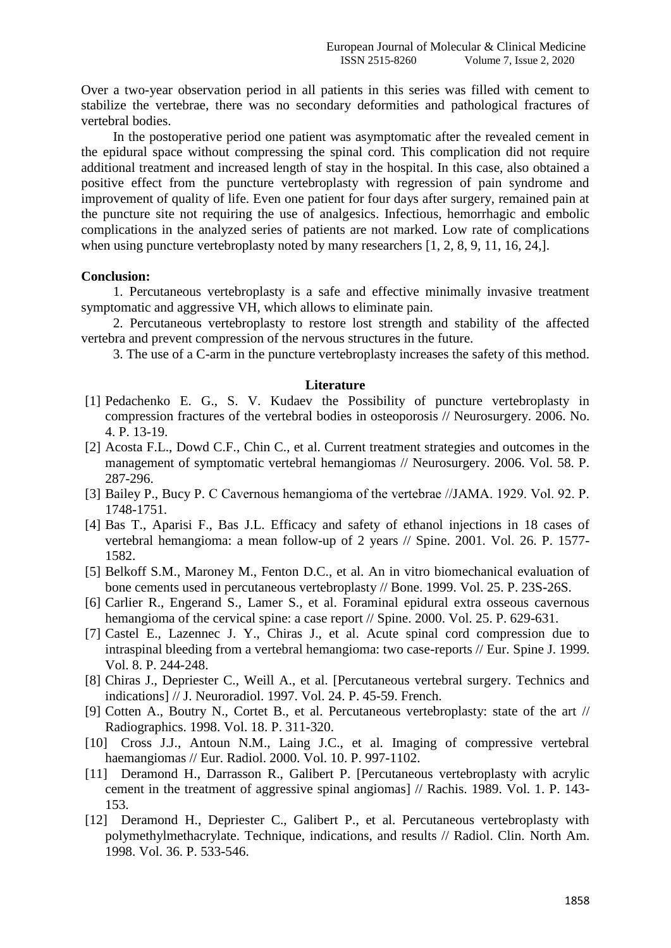Over a two-year observation period in all patients in this series was filled with cement to stabilize the vertebrae, there was no secondary deformities and pathological fractures of vertebral bodies.

In the postoperative period one patient was asymptomatic after the revealed cement in the epidural space without compressing the spinal cord. This complication did not require additional treatment and increased length of stay in the hospital. In this case, also obtained a positive effect from the puncture vertebroplasty with regression of pain syndrome and improvement of quality of life. Even one patient for four days after surgery, remained pain at the puncture site not requiring the use of analgesics. Infectious, hemorrhagic and embolic complications in the analyzed series of patients are not marked. Low rate of complications when using puncture vertebroplasty noted by many researchers [1, 2, 8, 9, 11, 16, 24,].

## **Conclusion:**

1. Percutaneous vertebroplasty is a safe and effective minimally invasive treatment symptomatic and aggressive VH, which allows to eliminate pain.

2. Percutaneous vertebroplasty to restore lost strength and stability of the affected vertebra and prevent compression of the nervous structures in the future.

3. The use of a C-arm in the puncture vertebroplasty increases the safety of this method.

## **Literature**

- [1] Pedachenko E. G., S. V. Kudaev the Possibility of puncture vertebroplasty in compression fractures of the vertebral bodies in osteoporosis // Neurosurgery. 2006. No. 4. P. 13-19.
- [2] Acosta F.L., Dowd C.F., Chin C., et al. Current treatment strategies and outcomes in the management of symptomatic vertebral hemangiomas // Neurosurgery. 2006. Vol. 58. P. 287-296.
- [3] Bailey P., Bucy P. C Cavernous hemangioma of the vertebrae //JAMA. 1929. Vol. 92. P. 1748-1751.
- [4] Bas T., Aparisi F., Bas J.L. Efficacy and safety of ethanol injections in 18 cases of vertebral hemangioma: a mean follow-up of 2 years // Spine. 2001. Vol. 26. P. 1577- 1582.
- [5] Belkoff S.M., Maroney M., Fenton D.C., et al. An in vitro biomechanical evaluation of bone cements used in percutaneous vertebroplasty // Bone. 1999. Vol. 25. P. 23S-26S.
- [6] Carlier R., Engerand S., Lamer S., et al. Foraminal epidural extra osseous cavernous hemangioma of the cervical spine: a case report // Spine. 2000. Vol. 25. P. 629-631.
- [7] Castel E., Lazennec J. Y., Chiras J., et al. Acute spinal cord compression due to intraspinal bleeding from a vertebral hemangioma: two case-reports // Eur. Spine J. 1999. Vol. 8. P. 244-248.
- [8] Chiras J., Depriester C., Weill A., et al. [Percutaneous vertebral surgery. Technics and indications] // J. Neuroradiol. 1997. Vol. 24. P. 45-59. French.
- [9] Cotten A., Boutry N., Cortet B., et al. Percutaneous vertebroplasty: state of the art // Radiographics. 1998. Vol. 18. P. 311-320.
- [10] Cross J.J., Antoun N.M., Laing J.C., et al. Imaging of compressive vertebral haemangiomas // Eur. Radiol. 2000. Vol. 10. P. 997-1102.
- [11] Deramond H., Darrasson R., Galibert P. [Percutaneous vertebroplasty with acrylic cement in the treatment of aggressive spinal angiomas] // Rachis. 1989. Vol. 1. P. 143- 153.
- [12] Deramond H., Depriester C., Galibert P., et al. Percutaneous vertebroplasty with polymethylmethacrylate. Technique, indications, and results // Radiol. Clin. North Am. 1998. Vol. 36. P. 533-546.